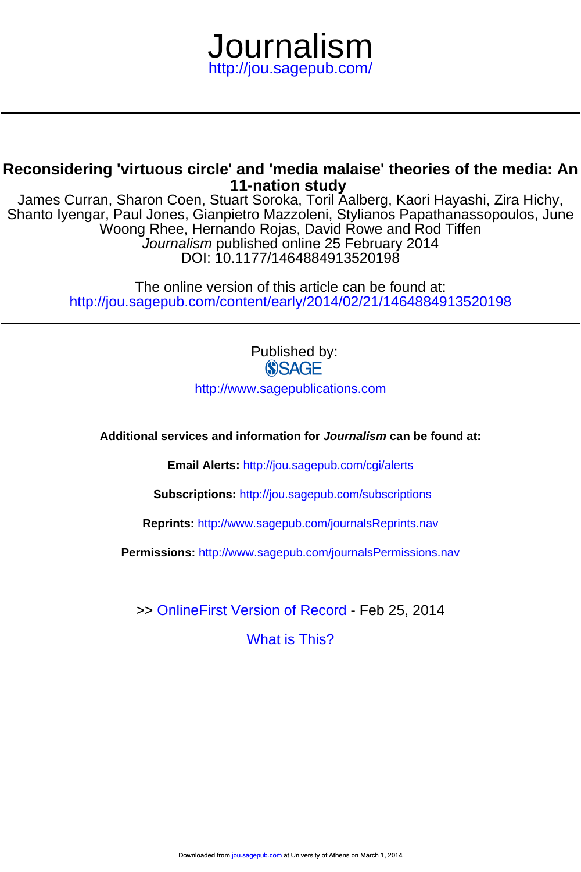

# **11-nation study Reconsidering 'virtuous circle' and 'media malaise' theories of the media: An**

DOI: 10.1177/1464884913520198 Journalism published online 25 February 2014 Woong Rhee, Hernando Rojas, David Rowe and Rod Tiffen Shanto Iyengar, Paul Jones, [Gianpietro Mazzoleni, Stylianos Papathana](http://www.sagepub.com/journalsPermissions.nav)ssopoulos, June James Curran, Sharon Coen, Stuart Soroka, Toril Aalberg, Kaori Hayashi, Zira Hichy,

> <http://jou.sagepub.com/content/early/2014/02/21/1464884913520198> The online version of this article can be found at:

> > [Published by:](http://jou.sagepub.com/content/early/2014/02/21/1464884913520198.full.pdf)<br>
> > SAGE

<http://www.sagepublications.com>

**Additional services and information for Journalism can be found at:**

**Email Alerts:** <http://jou.sagepub.com/cgi/alerts>

**Subscriptions:** <http://jou.sagepub.com/subscriptions>

**Reprints:** <http://www.sagepub.com/journalsReprints.nav>

**Permissions:** <http://www.sagepub.com/journalsPermissions.nav>

>> [OnlineFirst Version of Record -](http://jou.sagepub.com/content/early/2014/02/21/1464884913520198.full.pdf) Feb 25, 2014

[What is This?](http://online.sagepub.com/site/sphelp/vorhelp.xhtml)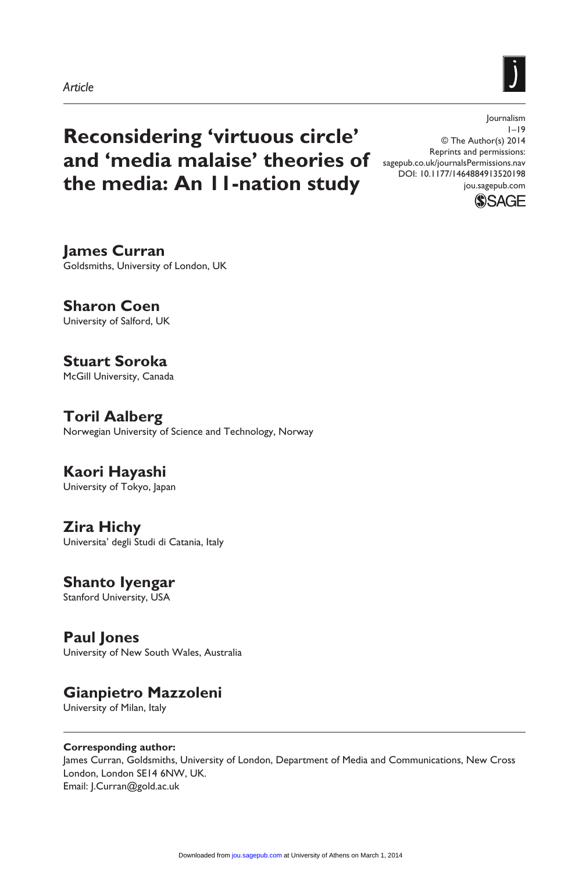

Journalism  $1 - 19$ 

© The Author(s) 2014 Reprints and permissions:

sagepub.co.uk/journalsPermissions.nav DOI: 10.1177/1464884913520198

# **Reconsidering 'virtuous circle' and 'media malaise' theories of the media: An 11-nation study**

jou.sagepub.com **SSAGE** 

**James Curran** Goldsmiths, University of London, UK

**Sharon Coen** University of Salford, UK

**Stuart Soroka**

McGill University, Canada

**Toril Aalberg** Norwegian University of Science and Technology, Norway

**Kaori Hayashi** University of Tokyo, Japan

**Zira Hichy** Universita' degli Studi di Catania, Italy

**Shanto Iyengar** Stanford University, USA

**Paul Jones** University of New South Wales, Australia

# **Gianpietro Mazzoleni**

University of Milan, Italy

### **Corresponding author:**

James Curran, Goldsmiths, University of London, Department of Media and Communications, New Cross London, London SE14 6NW, UK. Email: J.Curran@gold.ac.uk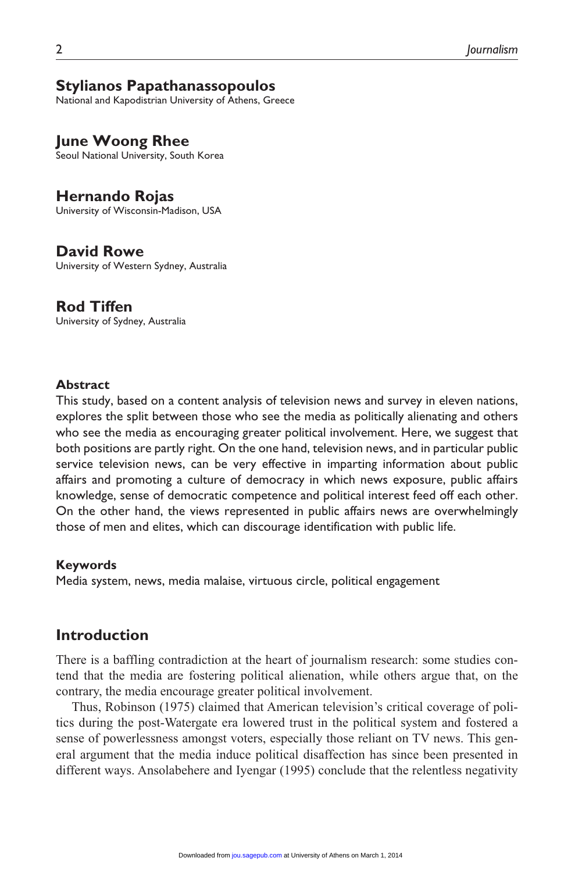# **Stylianos Papathanassopoulos**

National and Kapodistrian University of Athens, Greece

# **June Woong Rhee**

Seoul National University, South Korea

# **Hernando Rojas**

University of Wisconsin-Madison, USA

## **David Rowe**

University of Western Sydney, Australia

## **Rod Tiffen**

University of Sydney, Australia

#### **Abstract**

This study, based on a content analysis of television news and survey in eleven nations, explores the split between those who see the media as politically alienating and others who see the media as encouraging greater political involvement. Here, we suggest that both positions are partly right. On the one hand, television news, and in particular public service television news, can be very effective in imparting information about public affairs and promoting a culture of democracy in which news exposure, public affairs knowledge, sense of democratic competence and political interest feed off each other. On the other hand, the views represented in public affairs news are overwhelmingly those of men and elites, which can discourage identification with public life.

#### **Keywords**

Media system, news, media malaise, virtuous circle, political engagement

## **Introduction**

There is a baffling contradiction at the heart of journalism research: some studies contend that the media are fostering political alienation, while others argue that, on the contrary, the media encourage greater political involvement.

Thus, Robinson (1975) claimed that American television's critical coverage of politics during the post-Watergate era lowered trust in the political system and fostered a sense of powerlessness amongst voters, especially those reliant on TV news. This general argument that the media induce political disaffection has since been presented in different ways. Ansolabehere and Iyengar (1995) conclude that the relentless negativity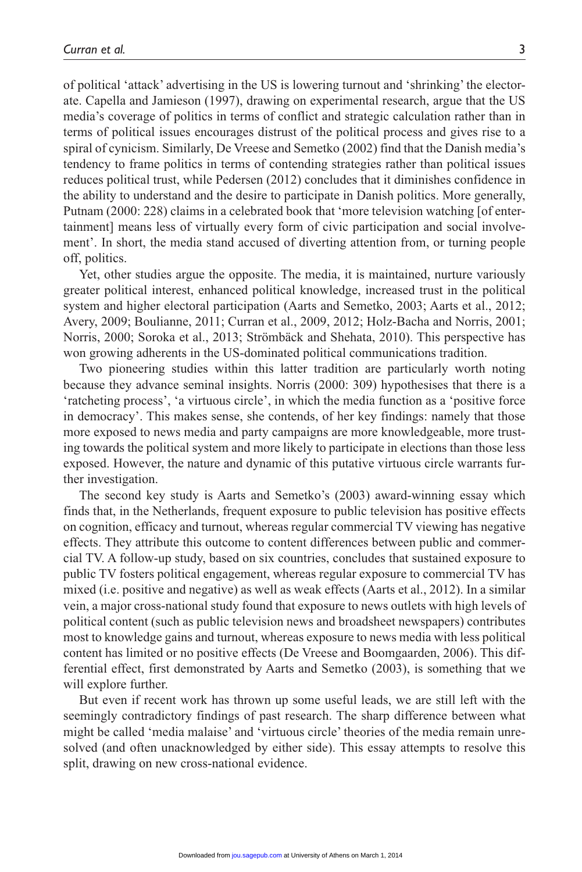of political 'attack' advertising in the US is lowering turnout and 'shrinking' the electorate. Capella and Jamieson (1997), drawing on experimental research, argue that the US media's coverage of politics in terms of conflict and strategic calculation rather than in terms of political issues encourages distrust of the political process and gives rise to a spiral of cynicism. Similarly, De Vreese and Semetko (2002) find that the Danish media's tendency to frame politics in terms of contending strategies rather than political issues reduces political trust, while Pedersen (2012) concludes that it diminishes confidence in the ability to understand and the desire to participate in Danish politics. More generally, Putnam (2000: 228) claims in a celebrated book that 'more television watching [of entertainment] means less of virtually every form of civic participation and social involvement'. In short, the media stand accused of diverting attention from, or turning people off, politics.

Yet, other studies argue the opposite. The media, it is maintained, nurture variously greater political interest, enhanced political knowledge, increased trust in the political system and higher electoral participation (Aarts and Semetko, 2003; Aarts et al., 2012; Avery, 2009; Boulianne, 2011; Curran et al., 2009, 2012; Holz-Bacha and Norris, 2001; Norris, 2000; Soroka et al., 2013; Strömbäck and Shehata, 2010). This perspective has won growing adherents in the US-dominated political communications tradition.

Two pioneering studies within this latter tradition are particularly worth noting because they advance seminal insights. Norris (2000: 309) hypothesises that there is a 'ratcheting process', 'a virtuous circle', in which the media function as a 'positive force in democracy'. This makes sense, she contends, of her key findings: namely that those more exposed to news media and party campaigns are more knowledgeable, more trusting towards the political system and more likely to participate in elections than those less exposed. However, the nature and dynamic of this putative virtuous circle warrants further investigation.

The second key study is Aarts and Semetko's (2003) award-winning essay which finds that, in the Netherlands, frequent exposure to public television has positive effects on cognition, efficacy and turnout, whereas regular commercial TV viewing has negative effects. They attribute this outcome to content differences between public and commercial TV. A follow-up study, based on six countries, concludes that sustained exposure to public TV fosters political engagement, whereas regular exposure to commercial TV has mixed (i.e. positive and negative) as well as weak effects (Aarts et al., 2012). In a similar vein, a major cross-national study found that exposure to news outlets with high levels of political content (such as public television news and broadsheet newspapers) contributes most to knowledge gains and turnout, whereas exposure to news media with less political content has limited or no positive effects (De Vreese and Boomgaarden, 2006). This differential effect, first demonstrated by Aarts and Semetko (2003), is something that we will explore further.

But even if recent work has thrown up some useful leads, we are still left with the seemingly contradictory findings of past research. The sharp difference between what might be called 'media malaise' and 'virtuous circle' theories of the media remain unresolved (and often unacknowledged by either side). This essay attempts to resolve this split, drawing on new cross-national evidence.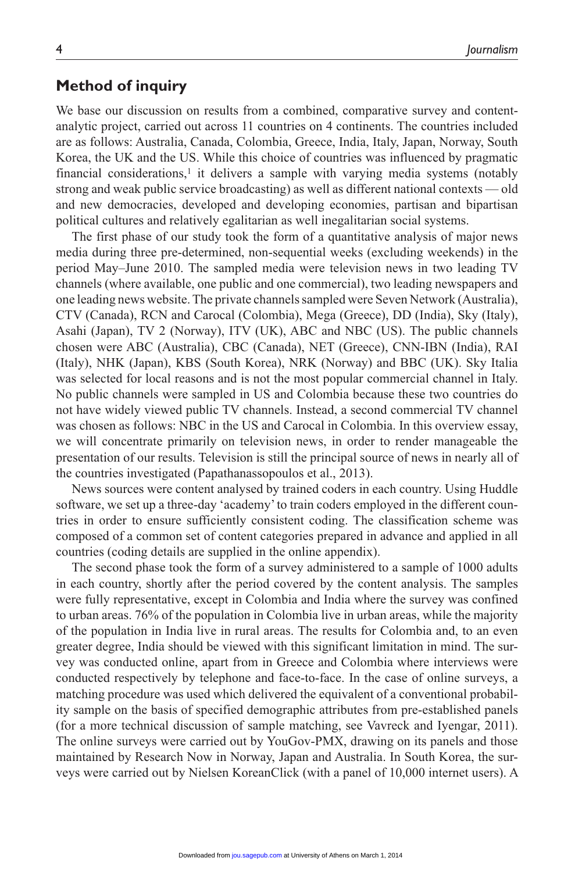## **Method of inquiry**

We base our discussion on results from a combined, comparative survey and contentanalytic project, carried out across 11 countries on 4 continents. The countries included are as follows: Australia, Canada, Colombia, Greece, India, Italy, Japan, Norway, South Korea, the UK and the US. While this choice of countries was influenced by pragmatic financial considerations, $\frac{1}{1}$  it delivers a sample with varying media systems (notably strong and weak public service broadcasting) as well as different national contexts — old and new democracies, developed and developing economies, partisan and bipartisan political cultures and relatively egalitarian as well inegalitarian social systems.

The first phase of our study took the form of a quantitative analysis of major news media during three pre-determined, non-sequential weeks (excluding weekends) in the period May–June 2010. The sampled media were television news in two leading TV channels (where available, one public and one commercial), two leading newspapers and one leading news website. The private channels sampled were Seven Network (Australia), CTV (Canada), RCN and Carocal (Colombia), Mega (Greece), DD (India), Sky (Italy), Asahi (Japan), TV 2 (Norway), ITV (UK), ABC and NBC (US). The public channels chosen were ABC (Australia), CBC (Canada), NET (Greece), CNN-IBN (India), RAI (Italy), NHK (Japan), KBS (South Korea), NRK (Norway) and BBC (UK). Sky Italia was selected for local reasons and is not the most popular commercial channel in Italy. No public channels were sampled in US and Colombia because these two countries do not have widely viewed public TV channels. Instead, a second commercial TV channel was chosen as follows: NBC in the US and Carocal in Colombia. In this overview essay, we will concentrate primarily on television news, in order to render manageable the presentation of our results. Television is still the principal source of news in nearly all of the countries investigated (Papathanassopoulos et al., 2013).

News sources were content analysed by trained coders in each country. Using Huddle software, we set up a three-day 'academy' to train coders employed in the different countries in order to ensure sufficiently consistent coding. The classification scheme was composed of a common set of content categories prepared in advance and applied in all countries (coding details are supplied in the online appendix).

The second phase took the form of a survey administered to a sample of 1000 adults in each country, shortly after the period covered by the content analysis. The samples were fully representative, except in Colombia and India where the survey was confined to urban areas. 76% of the population in Colombia live in urban areas, while the majority of the population in India live in rural areas. The results for Colombia and, to an even greater degree, India should be viewed with this significant limitation in mind. The survey was conducted online, apart from in Greece and Colombia where interviews were conducted respectively by telephone and face-to-face. In the case of online surveys, a matching procedure was used which delivered the equivalent of a conventional probability sample on the basis of specified demographic attributes from pre-established panels (for a more technical discussion of sample matching, see Vavreck and Iyengar, 2011). The online surveys were carried out by YouGov-PMX, drawing on its panels and those maintained by Research Now in Norway, Japan and Australia. In South Korea, the surveys were carried out by Nielsen KoreanClick (with a panel of 10,000 internet users). A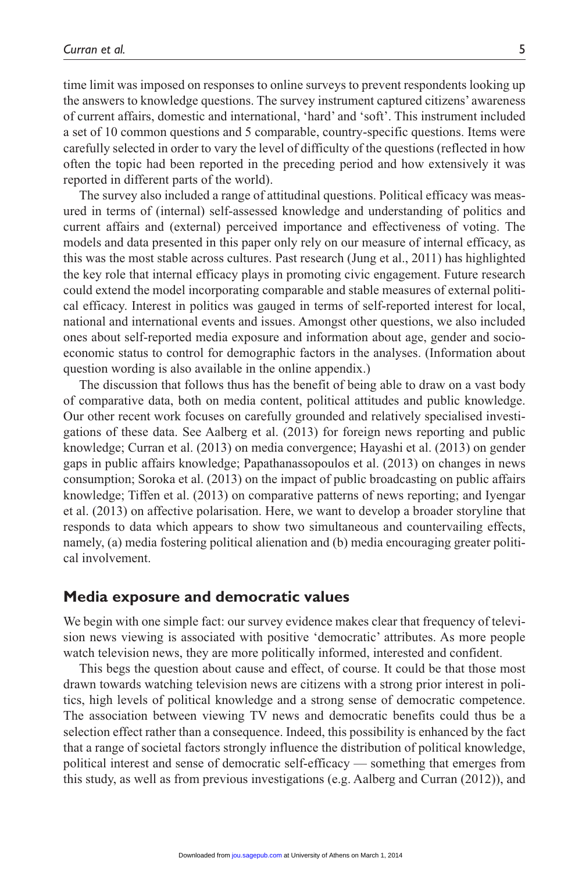time limit was imposed on responses to online surveys to prevent respondents looking up the answers to knowledge questions. The survey instrument captured citizens' awareness of current affairs, domestic and international, 'hard' and 'soft'. This instrument included a set of 10 common questions and 5 comparable, country-specific questions. Items were carefully selected in order to vary the level of difficulty of the questions (reflected in how often the topic had been reported in the preceding period and how extensively it was reported in different parts of the world).

The survey also included a range of attitudinal questions. Political efficacy was measured in terms of (internal) self-assessed knowledge and understanding of politics and current affairs and (external) perceived importance and effectiveness of voting. The models and data presented in this paper only rely on our measure of internal efficacy, as this was the most stable across cultures. Past research (Jung et al., 2011) has highlighted the key role that internal efficacy plays in promoting civic engagement. Future research could extend the model incorporating comparable and stable measures of external political efficacy. Interest in politics was gauged in terms of self-reported interest for local, national and international events and issues. Amongst other questions, we also included ones about self-reported media exposure and information about age, gender and socioeconomic status to control for demographic factors in the analyses. (Information about question wording is also available in the online appendix.)

The discussion that follows thus has the benefit of being able to draw on a vast body of comparative data, both on media content, political attitudes and public knowledge. Our other recent work focuses on carefully grounded and relatively specialised investigations of these data. See Aalberg et al. (2013) for foreign news reporting and public knowledge; Curran et al. (2013) on media convergence; Hayashi et al. (2013) on gender gaps in public affairs knowledge; Papathanassopoulos et al. (2013) on changes in news consumption; Soroka et al. (2013) on the impact of public broadcasting on public affairs knowledge; Tiffen et al. (2013) on comparative patterns of news reporting; and Iyengar et al. (2013) on affective polarisation. Here, we want to develop a broader storyline that responds to data which appears to show two simultaneous and countervailing effects, namely, (a) media fostering political alienation and (b) media encouraging greater political involvement.

### **Media exposure and democratic values**

We begin with one simple fact: our survey evidence makes clear that frequency of television news viewing is associated with positive 'democratic' attributes. As more people watch television news, they are more politically informed, interested and confident.

This begs the question about cause and effect, of course. It could be that those most drawn towards watching television news are citizens with a strong prior interest in politics, high levels of political knowledge and a strong sense of democratic competence. The association between viewing TV news and democratic benefits could thus be a selection effect rather than a consequence. Indeed, this possibility is enhanced by the fact that a range of societal factors strongly influence the distribution of political knowledge, political interest and sense of democratic self-efficacy — something that emerges from this study, as well as from previous investigations (e.g. Aalberg and Curran (2012)), and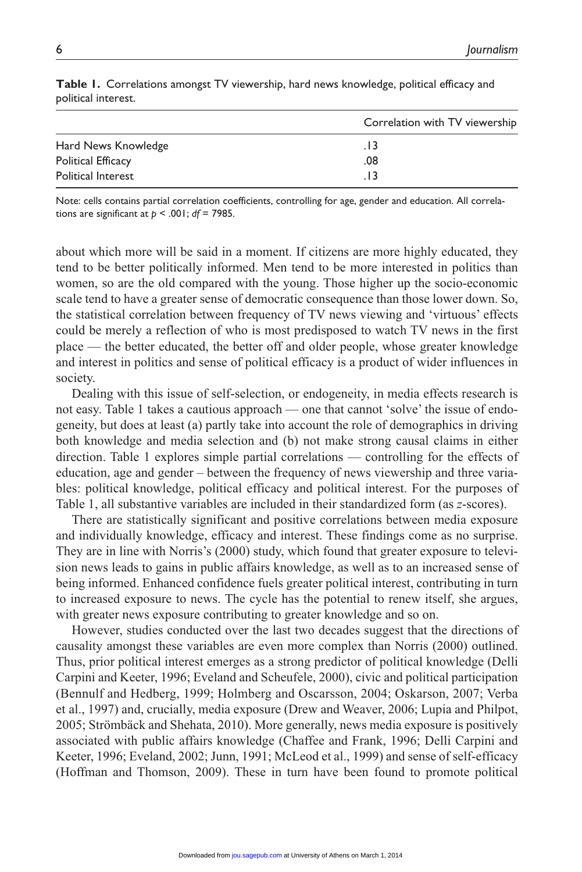|                     | Correlation with TV viewership |
|---------------------|--------------------------------|
| Hard News Knowledge | . 13                           |
| Political Efficacy  | .08                            |
| Political Interest  | -13                            |

**Table 1.** Correlations amongst TV viewership, hard news knowledge, political efficacy and political interest.

Note: cells contains partial correlation coefficients, controlling for age, gender and education. All correlations are significant at *p* < .001; *df* = 7985.

about which more will be said in a moment. If citizens are more highly educated, they tend to be better politically informed. Men tend to be more interested in politics than women, so are the old compared with the young. Those higher up the socio-economic scale tend to have a greater sense of democratic consequence than those lower down. So, the statistical correlation between frequency of TV news viewing and 'virtuous' effects could be merely a reflection of who is most predisposed to watch TV news in the first place — the better educated, the better off and older people, whose greater knowledge and interest in politics and sense of political efficacy is a product of wider influences in society.

Dealing with this issue of self-selection, or endogeneity, in media effects research is not easy. Table 1 takes a cautious approach — one that cannot 'solve' the issue of endogeneity, but does at least (a) partly take into account the role of demographics in driving both knowledge and media selection and (b) not make strong causal claims in either direction. Table 1 explores simple partial correlations — controlling for the effects of education, age and gender – between the frequency of news viewership and three variables: political knowledge, political efficacy and political interest. For the purposes of Table 1, all substantive variables are included in their standardized form (as *z*-scores).

There are statistically significant and positive correlations between media exposure and individually knowledge, efficacy and interest. These findings come as no surprise. They are in line with Norris's (2000) study, which found that greater exposure to television news leads to gains in public affairs knowledge, as well as to an increased sense of being informed. Enhanced confidence fuels greater political interest, contributing in turn to increased exposure to news. The cycle has the potential to renew itself, she argues, with greater news exposure contributing to greater knowledge and so on.

However, studies conducted over the last two decades suggest that the directions of causality amongst these variables are even more complex than Norris (2000) outlined. Thus, prior political interest emerges as a strong predictor of political knowledge (Delli Carpini and Keeter, 1996; Eveland and Scheufele, 2000), civic and political participation (Bennulf and Hedberg, 1999; Holmberg and Oscarsson, 2004; Oskarson, 2007; Verba et al., 1997) and, crucially, media exposure (Drew and Weaver, 2006; Lupia and Philpot, 2005; Strömbäck and Shehata, 2010). More generally, news media exposure is positively associated with public affairs knowledge (Chaffee and Frank, 1996; Delli Carpini and Keeter, 1996; Eveland, 2002; Junn, 1991; McLeod et al., 1999) and sense of self-efficacy (Hoffman and Thomson, 2009). These in turn have been found to promote political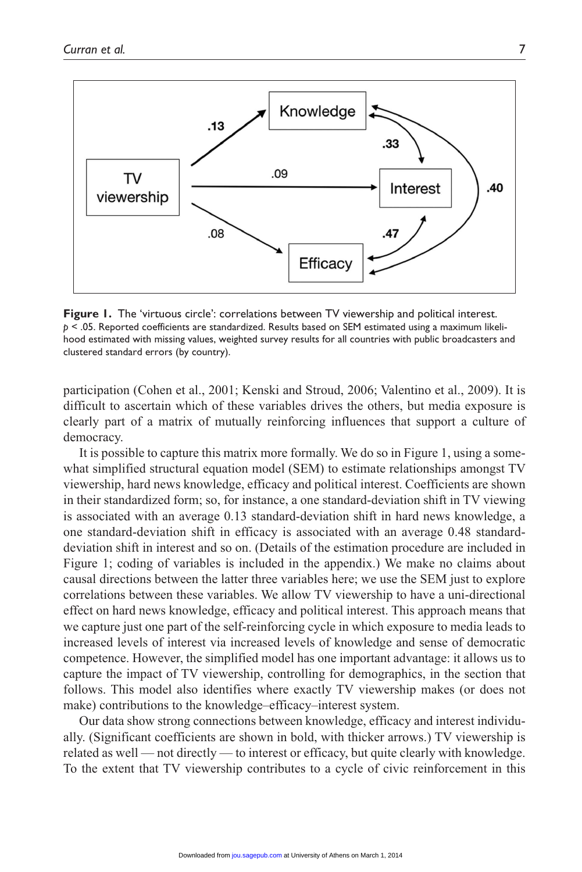

**Figure 1.** The 'virtuous circle': correlations between TV viewership and political interest. *p* < .05. Reported coefficients are standardized. Results based on SEM estimated using a maximum likelihood estimated with missing values, weighted survey results for all countries with public broadcasters and clustered standard errors (by country).

participation (Cohen et al., 2001; Kenski and Stroud, 2006; Valentino et al., 2009). It is difficult to ascertain which of these variables drives the others, but media exposure is clearly part of a matrix of mutually reinforcing influences that support a culture of democracy.

It is possible to capture this matrix more formally. We do so in Figure 1, using a somewhat simplified structural equation model (SEM) to estimate relationships amongst TV viewership, hard news knowledge, efficacy and political interest. Coefficients are shown in their standardized form; so, for instance, a one standard-deviation shift in TV viewing is associated with an average 0.13 standard-deviation shift in hard news knowledge, a one standard-deviation shift in efficacy is associated with an average 0.48 standarddeviation shift in interest and so on. (Details of the estimation procedure are included in Figure 1; coding of variables is included in the appendix.) We make no claims about causal directions between the latter three variables here; we use the SEM just to explore correlations between these variables. We allow TV viewership to have a uni-directional effect on hard news knowledge, efficacy and political interest. This approach means that we capture just one part of the self-reinforcing cycle in which exposure to media leads to increased levels of interest via increased levels of knowledge and sense of democratic competence. However, the simplified model has one important advantage: it allows us to capture the impact of TV viewership, controlling for demographics, in the section that follows. This model also identifies where exactly TV viewership makes (or does not make) contributions to the knowledge–efficacy–interest system.

Our data show strong connections between knowledge, efficacy and interest individually. (Significant coefficients are shown in bold, with thicker arrows.) TV viewership is related as well — not directly — to interest or efficacy, but quite clearly with knowledge. To the extent that TV viewership contributes to a cycle of civic reinforcement in this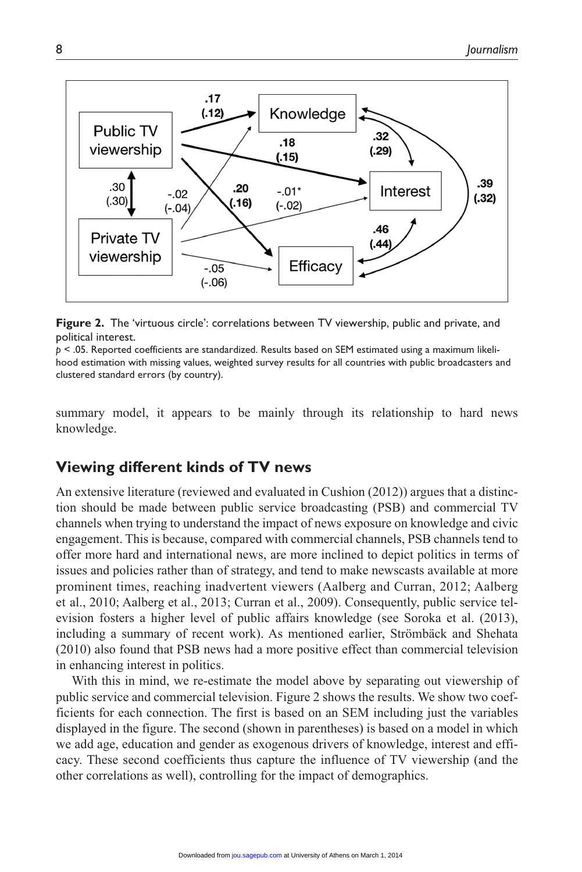



*p* < .05. Reported coefficients are standardized. Results based on SEM estimated using a maximum likelihood estimation with missing values, weighted survey results for all countries with public broadcasters and clustered standard errors (by country).

summary model, it appears to be mainly through its relationship to hard news knowledge.

# **Viewing different kinds of TV news**

An extensive literature (reviewed and evaluated in Cushion (2012)) argues that a distinction should be made between public service broadcasting (PSB) and commercial TV channels when trying to understand the impact of news exposure on knowledge and civic engagement. This is because, compared with commercial channels, PSB channels tend to offer more hard and international news, are more inclined to depict politics in terms of issues and policies rather than of strategy, and tend to make newscasts available at more prominent times, reaching inadvertent viewers (Aalberg and Curran, 2012; Aalberg et al., 2010; Aalberg et al., 2013; Curran et al., 2009). Consequently, public service television fosters a higher level of public affairs knowledge (see Soroka et al. (2013), including a summary of recent work). As mentioned earlier, Strömbäck and Shehata (2010) also found that PSB news had a more positive effect than commercial television in enhancing interest in politics.

With this in mind, we re-estimate the model above by separating out viewership of public service and commercial television. Figure 2 shows the results. We show two coefficients for each connection. The first is based on an SEM including just the variables displayed in the figure. The second (shown in parentheses) is based on a model in which we add age, education and gender as exogenous drivers of knowledge, interest and efficacy. These second coefficients thus capture the influence of TV viewership (and the other correlations as well), controlling for the impact of demographics.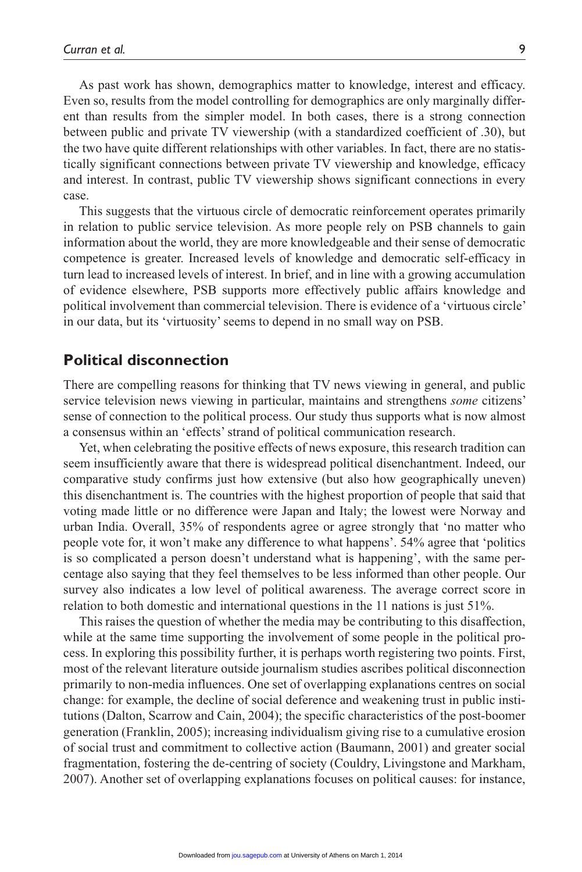As past work has shown, demographics matter to knowledge, interest and efficacy. Even so, results from the model controlling for demographics are only marginally different than results from the simpler model. In both cases, there is a strong connection between public and private TV viewership (with a standardized coefficient of .30), but the two have quite different relationships with other variables. In fact, there are no statistically significant connections between private TV viewership and knowledge, efficacy and interest. In contrast, public TV viewership shows significant connections in every case.

This suggests that the virtuous circle of democratic reinforcement operates primarily in relation to public service television. As more people rely on PSB channels to gain information about the world, they are more knowledgeable and their sense of democratic competence is greater. Increased levels of knowledge and democratic self-efficacy in turn lead to increased levels of interest. In brief, and in line with a growing accumulation of evidence elsewhere, PSB supports more effectively public affairs knowledge and political involvement than commercial television. There is evidence of a 'virtuous circle' in our data, but its 'virtuosity' seems to depend in no small way on PSB.

# **Political disconnection**

There are compelling reasons for thinking that TV news viewing in general, and public service television news viewing in particular, maintains and strengthens *some* citizens' sense of connection to the political process. Our study thus supports what is now almost a consensus within an 'effects' strand of political communication research.

Yet, when celebrating the positive effects of news exposure, this research tradition can seem insufficiently aware that there is widespread political disenchantment. Indeed, our comparative study confirms just how extensive (but also how geographically uneven) this disenchantment is. The countries with the highest proportion of people that said that voting made little or no difference were Japan and Italy; the lowest were Norway and urban India. Overall, 35% of respondents agree or agree strongly that 'no matter who people vote for, it won't make any difference to what happens'. 54% agree that 'politics is so complicated a person doesn't understand what is happening', with the same percentage also saying that they feel themselves to be less informed than other people. Our survey also indicates a low level of political awareness. The average correct score in relation to both domestic and international questions in the 11 nations is just 51%.

This raises the question of whether the media may be contributing to this disaffection, while at the same time supporting the involvement of some people in the political process. In exploring this possibility further, it is perhaps worth registering two points. First, most of the relevant literature outside journalism studies ascribes political disconnection primarily to non-media influences. One set of overlapping explanations centres on social change: for example, the decline of social deference and weakening trust in public institutions (Dalton, Scarrow and Cain, 2004); the specific characteristics of the post-boomer generation (Franklin, 2005); increasing individualism giving rise to a cumulative erosion of social trust and commitment to collective action (Baumann, 2001) and greater social fragmentation, fostering the de-centring of society (Couldry, Livingstone and Markham, 2007). Another set of overlapping explanations focuses on political causes: for instance,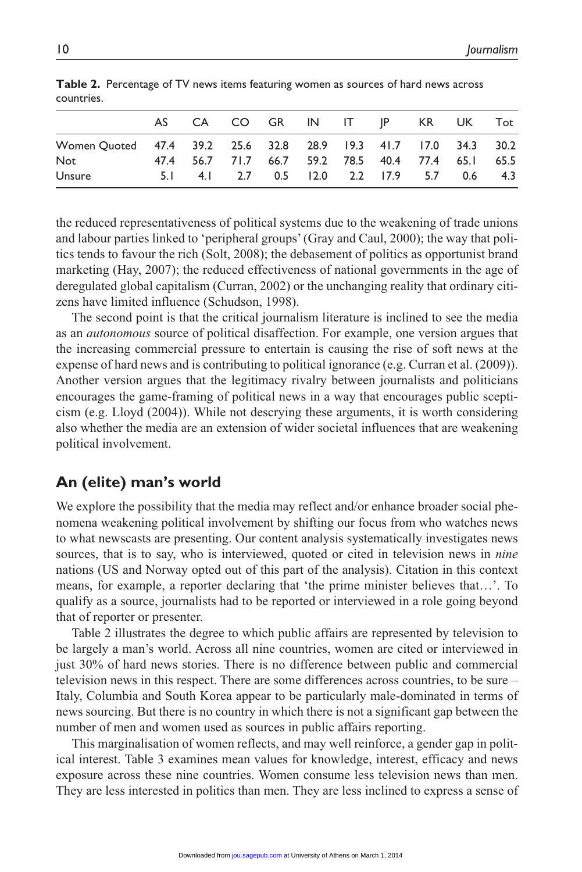|                                                                | AS CA CO GR IN IT IP KR UK Tot                    |  |  |  |  |
|----------------------------------------------------------------|---------------------------------------------------|--|--|--|--|
| Women Quoted 47.4 39.2 25.6 32.8 28.9 19.3 41.7 17.0 34.3 30.2 |                                                   |  |  |  |  |
| Not.                                                           | 47.4 56.7 71.7 66.7 59.2 78.5 40.4 77.4 65.1 65.5 |  |  |  |  |
| Unsure                                                         | 5.1 4.1 2.7 0.5 12.0 2.2 17.9 5.7 0.6 4.3         |  |  |  |  |

**Table 2.** Percentage of TV news items featuring women as sources of hard news across countries.

the reduced representativeness of political systems due to the weakening of trade unions and labour parties linked to 'peripheral groups' (Gray and Caul, 2000); the way that politics tends to favour the rich (Solt, 2008); the debasement of politics as opportunist brand marketing (Hay, 2007); the reduced effectiveness of national governments in the age of deregulated global capitalism (Curran, 2002) or the unchanging reality that ordinary citizens have limited influence (Schudson, 1998).

The second point is that the critical journalism literature is inclined to see the media as an *autonomous* source of political disaffection. For example, one version argues that the increasing commercial pressure to entertain is causing the rise of soft news at the expense of hard news and is contributing to political ignorance (e.g. Curran et al. (2009)). Another version argues that the legitimacy rivalry between journalists and politicians encourages the game-framing of political news in a way that encourages public scepticism (e.g. Lloyd (2004)). While not descrying these arguments, it is worth considering also whether the media are an extension of wider societal influences that are weakening political involvement.

# **An (elite) man's world**

We explore the possibility that the media may reflect and/or enhance broader social phenomena weakening political involvement by shifting our focus from who watches news to what newscasts are presenting. Our content analysis systematically investigates news sources, that is to say, who is interviewed, quoted or cited in television news in *nine* nations (US and Norway opted out of this part of the analysis). Citation in this context means, for example, a reporter declaring that 'the prime minister believes that…'. To qualify as a source, journalists had to be reported or interviewed in a role going beyond that of reporter or presenter.

Table 2 illustrates the degree to which public affairs are represented by television to be largely a man's world. Across all nine countries, women are cited or interviewed in just 30% of hard news stories. There is no difference between public and commercial television news in this respect. There are some differences across countries, to be sure – Italy, Columbia and South Korea appear to be particularly male-dominated in terms of news sourcing. But there is no country in which there is not a significant gap between the number of men and women used as sources in public affairs reporting.

This marginalisation of women reflects, and may well reinforce, a gender gap in political interest. Table 3 examines mean values for knowledge, interest, efficacy and news exposure across these nine countries. Women consume less television news than men. They are less interested in politics than men. They are less inclined to express a sense of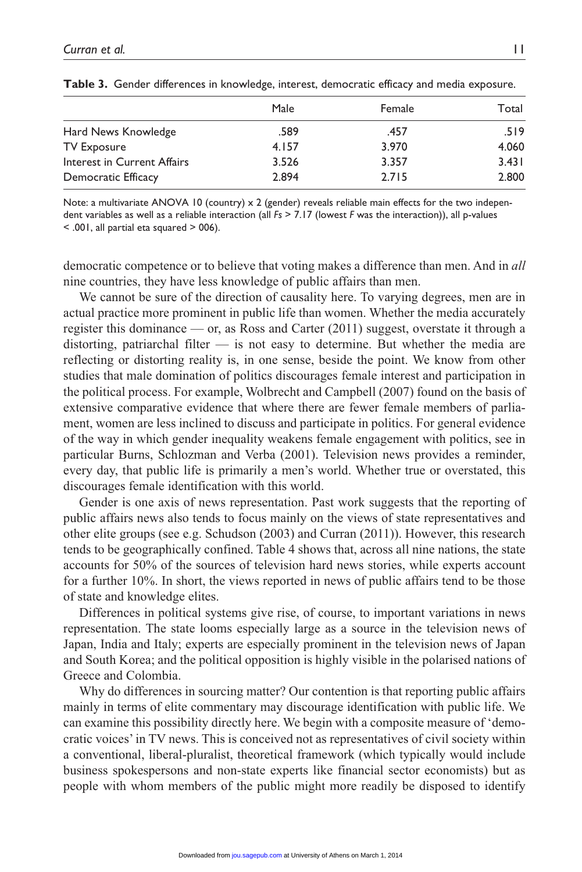|                             | Male  | Female | Total |
|-----------------------------|-------|--------|-------|
| Hard News Knowledge         | .589  | .457   | .519  |
| <b>TV Exposure</b>          | 4.157 | 3.970  | 4.060 |
| Interest in Current Affairs | 3.526 | 3.357  | 3.431 |
| Democratic Efficacy         | 2.894 | 2.715  | 2.800 |

**Table 3.** Gender differences in knowledge, interest, democratic efficacy and media exposure.

Note: a multivariate ANOVA 10 (country)  $\times$  2 (gender) reveals reliable main effects for the two independent variables as well as a reliable interaction (all *Fs* > 7.17 (lowest *F* was the interaction)), all p-values < .001, all partial eta squared > 006).

democratic competence or to believe that voting makes a difference than men. And in *all* nine countries, they have less knowledge of public affairs than men.

We cannot be sure of the direction of causality here. To varying degrees, men are in actual practice more prominent in public life than women. Whether the media accurately register this dominance — or, as Ross and Carter (2011) suggest, overstate it through a distorting, patriarchal filter — is not easy to determine. But whether the media are reflecting or distorting reality is, in one sense, beside the point. We know from other studies that male domination of politics discourages female interest and participation in the political process. For example, Wolbrecht and Campbell (2007) found on the basis of extensive comparative evidence that where there are fewer female members of parliament, women are less inclined to discuss and participate in politics. For general evidence of the way in which gender inequality weakens female engagement with politics, see in particular Burns, Schlozman and Verba (2001). Television news provides a reminder, every day, that public life is primarily a men's world. Whether true or overstated, this discourages female identification with this world.

Gender is one axis of news representation. Past work suggests that the reporting of public affairs news also tends to focus mainly on the views of state representatives and other elite groups (see e.g. Schudson (2003) and Curran (2011)). However, this research tends to be geographically confined. Table 4 shows that, across all nine nations, the state accounts for 50% of the sources of television hard news stories, while experts account for a further 10%. In short, the views reported in news of public affairs tend to be those of state and knowledge elites.

Differences in political systems give rise, of course, to important variations in news representation. The state looms especially large as a source in the television news of Japan, India and Italy; experts are especially prominent in the television news of Japan and South Korea; and the political opposition is highly visible in the polarised nations of Greece and Colombia.

Why do differences in sourcing matter? Our contention is that reporting public affairs mainly in terms of elite commentary may discourage identification with public life. We can examine this possibility directly here. We begin with a composite measure of 'democratic voices' in TV news. This is conceived not as representatives of civil society within a conventional, liberal-pluralist, theoretical framework (which typically would include business spokespersons and non-state experts like financial sector economists) but as people with whom members of the public might more readily be disposed to identify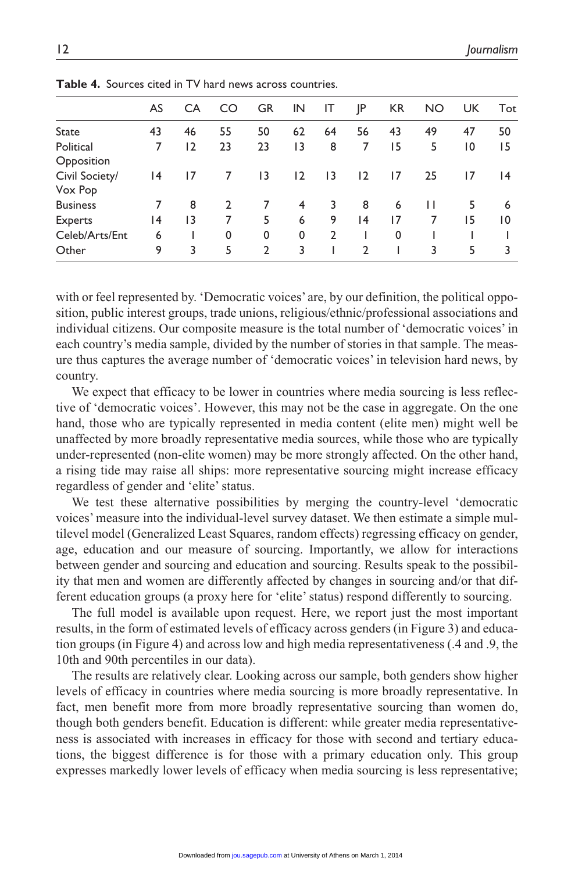|                 | AS | CA | CO             | <b>GR</b>       | IN | ΙT             | IP | KR | NO. | UK.             | Tot |
|-----------------|----|----|----------------|-----------------|----|----------------|----|----|-----|-----------------|-----|
| <b>State</b>    | 43 | 46 | 55             | 50              | 62 | 64             | 56 | 43 | 49  | 47              | 50  |
| Political       | 7  | 12 | 23             | 23              | 13 | 8              | 7  | 15 | 5   | $\overline{10}$ | 15  |
| Opposition      |    |    |                |                 |    |                |    |    |     |                 |     |
| Civil Society/  | 14 | 17 | 7              | $\overline{13}$ | 12 | 13             | 12 | 17 | 25  | 17              | 14  |
| Vox Pop         |    |    |                |                 |    |                |    |    |     |                 |     |
| <b>Business</b> | 7  | 8  | $\overline{2}$ | 7               | 4  | 3              | 8  | 6  | Ш   | 5               | 6   |
| Experts         | 14 | 13 | 7              | 5               | 6  | 9              | 4  | 17 | 7   | 15              | 10  |
| Celeb/Arts/Ent  | 6  |    | $\mathbf 0$    | 0               | 0  | $\mathfrak{p}$ |    | 0  |     |                 |     |
| Other           | 9  | 3  | 5              | $\overline{2}$  | 3  |                | 2  |    | 3   | 5               | 3   |

**Table 4.** Sources cited in TV hard news across countries.

with or feel represented by. 'Democratic voices' are, by our definition, the political opposition, public interest groups, trade unions, religious/ethnic/professional associations and individual citizens. Our composite measure is the total number of 'democratic voices' in each country's media sample, divided by the number of stories in that sample. The measure thus captures the average number of 'democratic voices' in television hard news, by country.

We expect that efficacy to be lower in countries where media sourcing is less reflective of 'democratic voices'. However, this may not be the case in aggregate. On the one hand, those who are typically represented in media content (elite men) might well be unaffected by more broadly representative media sources, while those who are typically under-represented (non-elite women) may be more strongly affected. On the other hand, a rising tide may raise all ships: more representative sourcing might increase efficacy regardless of gender and 'elite' status.

We test these alternative possibilities by merging the country-level 'democratic voices' measure into the individual-level survey dataset. We then estimate a simple multilevel model (Generalized Least Squares, random effects) regressing efficacy on gender, age, education and our measure of sourcing. Importantly, we allow for interactions between gender and sourcing and education and sourcing. Results speak to the possibility that men and women are differently affected by changes in sourcing and/or that different education groups (a proxy here for 'elite' status) respond differently to sourcing.

The full model is available upon request. Here, we report just the most important results, in the form of estimated levels of efficacy across genders (in Figure 3) and education groups (in Figure 4) and across low and high media representativeness (.4 and .9, the 10th and 90th percentiles in our data).

The results are relatively clear. Looking across our sample, both genders show higher levels of efficacy in countries where media sourcing is more broadly representative. In fact, men benefit more from more broadly representative sourcing than women do, though both genders benefit. Education is different: while greater media representativeness is associated with increases in efficacy for those with second and tertiary educations, the biggest difference is for those with a primary education only. This group expresses markedly lower levels of efficacy when media sourcing is less representative;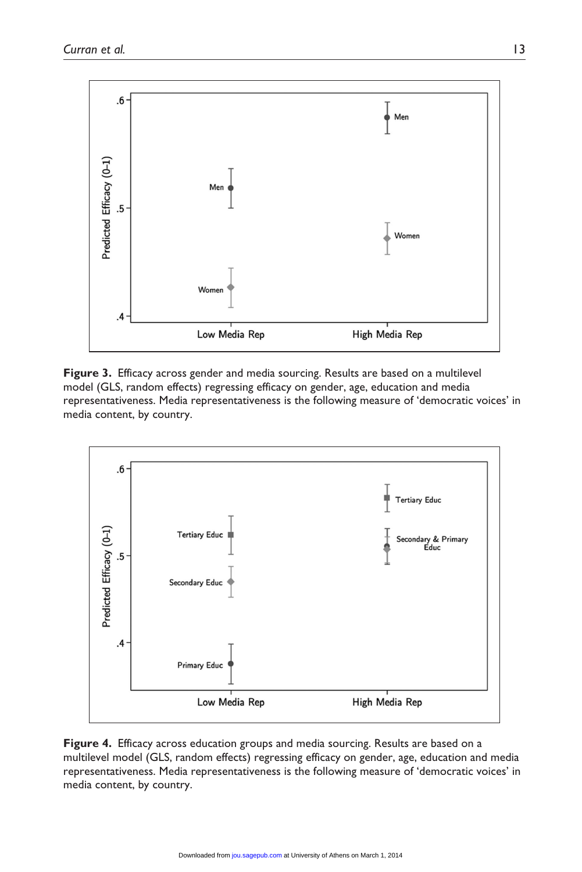

**Figure 3.** Efficacy across gender and media sourcing. Results are based on a multilevel model (GLS, random effects) regressing efficacy on gender, age, education and media representativeness. Media representativeness is the following measure of 'democratic voices' in media content, by country.



**Figure 4.** Efficacy across education groups and media sourcing. Results are based on a multilevel model (GLS, random effects) regressing efficacy on gender, age, education and media representativeness. Media representativeness is the following measure of 'democratic voices' in media content, by country.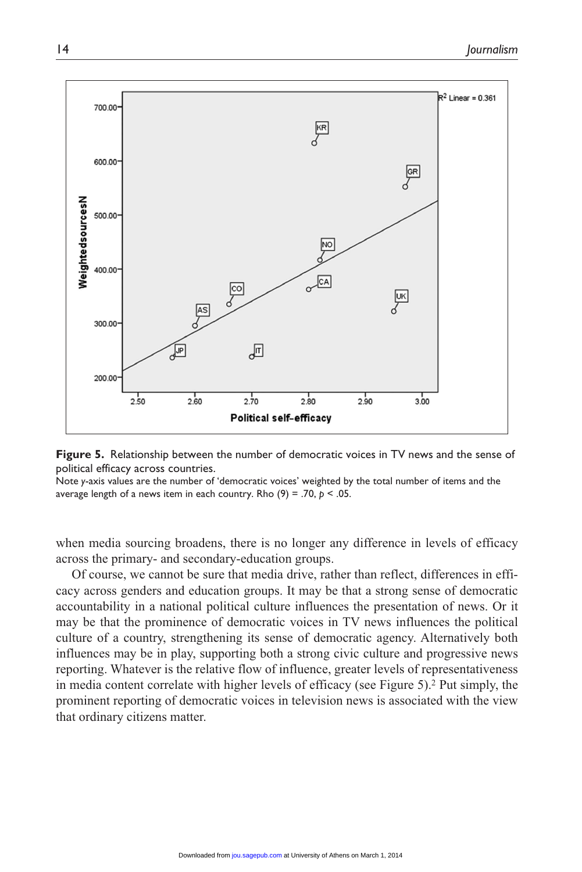



Note *y*-axis values are the number of 'democratic voices' weighted by the total number of items and the average length of a news item in each country. Rho  $(9) = .70$ ,  $p < .05$ .

when media sourcing broadens, there is no longer any difference in levels of efficacy across the primary- and secondary-education groups.

Of course, we cannot be sure that media drive, rather than reflect, differences in efficacy across genders and education groups. It may be that a strong sense of democratic accountability in a national political culture influences the presentation of news. Or it may be that the prominence of democratic voices in TV news influences the political culture of a country, strengthening its sense of democratic agency. Alternatively both influences may be in play, supporting both a strong civic culture and progressive news reporting. Whatever is the relative flow of influence, greater levels of representativeness in media content correlate with higher levels of efficacy (see Figure  $5$ ).<sup>2</sup> Put simply, the prominent reporting of democratic voices in television news is associated with the view that ordinary citizens matter.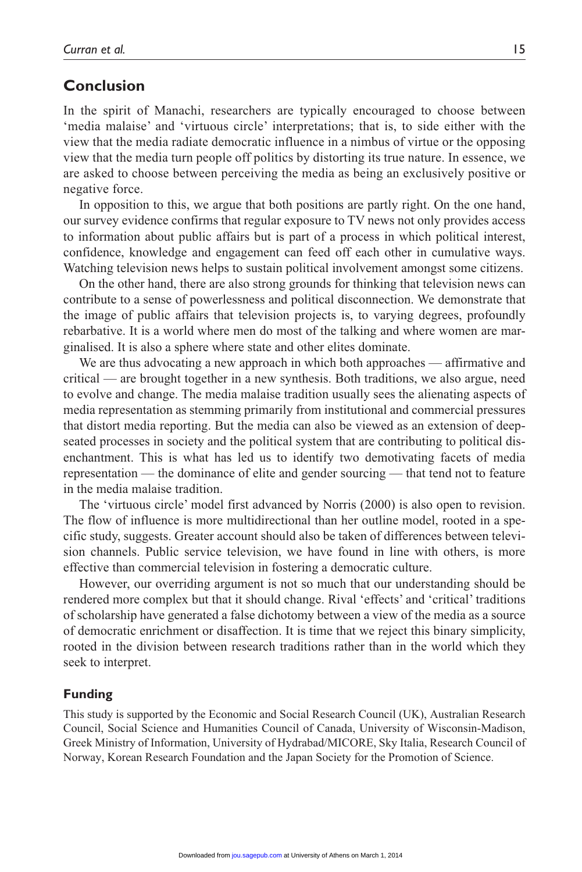## **Conclusion**

In the spirit of Manachi, researchers are typically encouraged to choose between 'media malaise' and 'virtuous circle' interpretations; that is, to side either with the view that the media radiate democratic influence in a nimbus of virtue or the opposing view that the media turn people off politics by distorting its true nature. In essence, we are asked to choose between perceiving the media as being an exclusively positive or negative force.

In opposition to this, we argue that both positions are partly right. On the one hand, our survey evidence confirms that regular exposure to TV news not only provides access to information about public affairs but is part of a process in which political interest, confidence, knowledge and engagement can feed off each other in cumulative ways. Watching television news helps to sustain political involvement amongst some citizens.

On the other hand, there are also strong grounds for thinking that television news can contribute to a sense of powerlessness and political disconnection. We demonstrate that the image of public affairs that television projects is, to varying degrees, profoundly rebarbative. It is a world where men do most of the talking and where women are marginalised. It is also a sphere where state and other elites dominate.

We are thus advocating a new approach in which both approaches — affirmative and critical — are brought together in a new synthesis. Both traditions, we also argue, need to evolve and change. The media malaise tradition usually sees the alienating aspects of media representation as stemming primarily from institutional and commercial pressures that distort media reporting. But the media can also be viewed as an extension of deepseated processes in society and the political system that are contributing to political disenchantment. This is what has led us to identify two demotivating facets of media representation — the dominance of elite and gender sourcing — that tend not to feature in the media malaise tradition.

The 'virtuous circle' model first advanced by Norris (2000) is also open to revision. The flow of influence is more multidirectional than her outline model, rooted in a specific study, suggests. Greater account should also be taken of differences between television channels. Public service television, we have found in line with others, is more effective than commercial television in fostering a democratic culture.

However, our overriding argument is not so much that our understanding should be rendered more complex but that it should change. Rival 'effects' and 'critical' traditions of scholarship have generated a false dichotomy between a view of the media as a source of democratic enrichment or disaffection. It is time that we reject this binary simplicity, rooted in the division between research traditions rather than in the world which they seek to interpret.

## **Funding**

This study is supported by the Economic and Social Research Council (UK), Australian Research Council, Social Science and Humanities Council of Canada, University of Wisconsin-Madison, Greek Ministry of Information, University of Hydrabad/MICORE, Sky Italia, Research Council of Norway, Korean Research Foundation and the Japan Society for the Promotion of Science.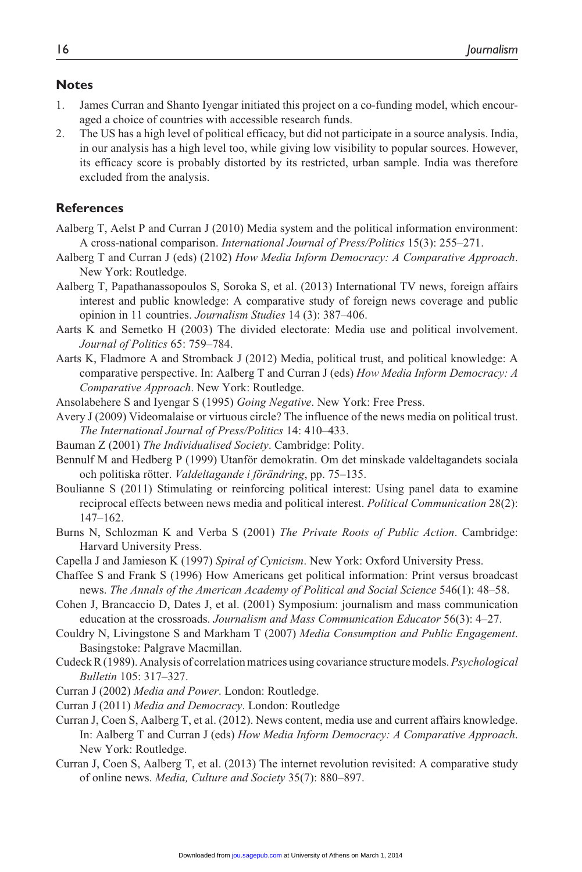#### **Notes**

- 1. James Curran and Shanto Iyengar initiated this project on a co-funding model, which encouraged a choice of countries with accessible research funds.
- 2. The US has a high level of political efficacy, but did not participate in a source analysis. India, in our analysis has a high level too, while giving low visibility to popular sources. However, its efficacy score is probably distorted by its restricted, urban sample. India was therefore excluded from the analysis.

## **References**

- Aalberg T, Aelst P and Curran J (2010) Media system and the political information environment: A cross-national comparison. *International Journal of Press/Politics* 15(3): 255–271.
- Aalberg T and Curran J (eds) (2102) *How Media Inform Democracy: A Comparative Approach*. New York: Routledge.
- Aalberg T, Papathanassopoulos S, Soroka S, et al. (2013) International TV news, foreign affairs interest and public knowledge: A comparative study of foreign news coverage and public opinion in 11 countries. *Journalism Studies* 14 (3): 387–406.
- Aarts K and Semetko H (2003) The divided electorate: Media use and political involvement. *Journal of Politics* 65: 759–784.
- Aarts K, Fladmore A and Stromback J (2012) Media, political trust, and political knowledge: A comparative perspective. In: Aalberg T and Curran J (eds) *How Media Inform Democracy: A Comparative Approach*. New York: Routledge.
- Ansolabehere S and Iyengar S (1995) *Going Negative*. New York: Free Press.
- Avery J (2009) Videomalaise or virtuous circle? The influence of the news media on political trust. *The International Journal of Press/Politics* 14: 410–433.
- Bauman Z (2001) *The Individualised Society*. Cambridge: Polity.
- Bennulf M and Hedberg P (1999) Utanför demokratin. Om det minskade valdeltagandets sociala och politiska rötter. *Valdeltagande i förändring*, pp. 75–135.
- Boulianne S (2011) Stimulating or reinforcing political interest: Using panel data to examine reciprocal effects between news media and political interest. *Political Communication* 28(2): 147–162.
- Burns N, Schlozman K and Verba S (2001) *The Private Roots of Public Action*. Cambridge: Harvard University Press.
- Capella J and Jamieson K (1997) *Spiral of Cynicism*. New York: Oxford University Press.
- Chaffee S and Frank S (1996) How Americans get political information: Print versus broadcast news. *The Annals of the American Academy of Political and Social Science* 546(1): 48–58.
- Cohen J, Brancaccio D, Dates J, et al. (2001) Symposium: journalism and mass communication education at the crossroads. *Journalism and Mass Communication Educator* 56(3): 4–27.
- Couldry N, Livingstone S and Markham T (2007) *Media Consumption and Public Engagement*. Basingstoke: Palgrave Macmillan.
- Cudeck R (1989). Analysis of correlation matrices using covariance structure models. *Psychological Bulletin* 105: 317–327.
- Curran J (2002) *Media and Power*. London: Routledge.
- Curran J (2011) *Media and Democracy*. London: Routledge
- Curran J, Coen S, Aalberg T, et al. (2012). News content, media use and current affairs knowledge. In: Aalberg T and Curran J (eds) *How Media Inform Democracy: A Comparative Approach*. New York: Routledge.
- Curran J, Coen S, Aalberg T, et al. (2013) The internet revolution revisited: A comparative study of online news. *Media, Culture and Society* 35(7): 880–897.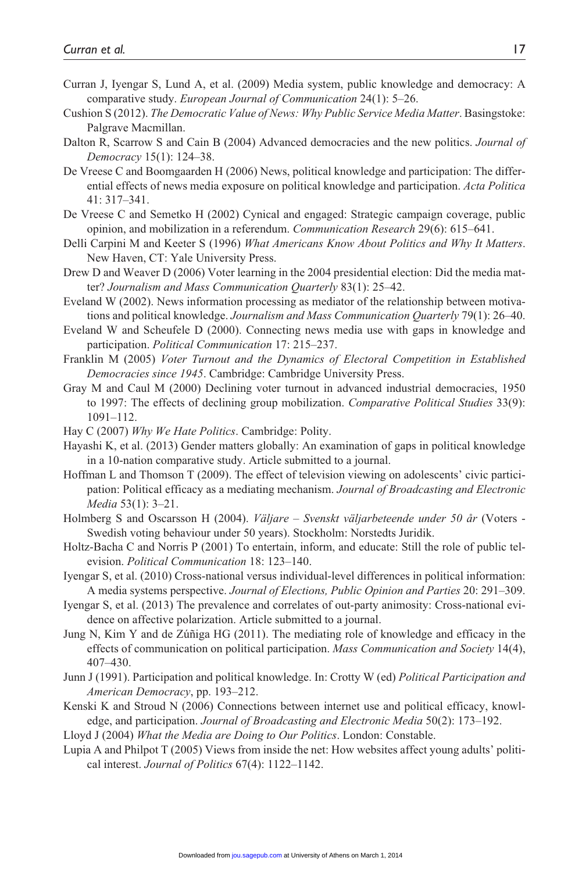- Curran J, Iyengar S, Lund A, et al. (2009) Media system, public knowledge and democracy: A comparative study. *European Journal of Communication* 24(1): 5–26.
- Cushion S (2012). *The Democratic Value of News: Why Public Service Media Matter*. Basingstoke: Palgrave Macmillan.
- Dalton R, Scarrow S and Cain B (2004) Advanced democracies and the new politics. *Journal of Democracy* 15(1): 124–38.
- De Vreese C and Boomgaarden H (2006) News, political knowledge and participation: The differential effects of news media exposure on political knowledge and participation. *Acta Politica* 41: 317–341.
- De Vreese C and Semetko H (2002) Cynical and engaged: Strategic campaign coverage, public opinion, and mobilization in a referendum. *Communication Research* 29(6): 615–641.
- Delli Carpini M and Keeter S (1996) *What Americans Know About Politics and Why It Matters*. New Haven, CT: Yale University Press.
- Drew D and Weaver D (2006) Voter learning in the 2004 presidential election: Did the media matter? *Journalism and Mass Communication Quarterly* 83(1): 25–42.
- Eveland W (2002). News information processing as mediator of the relationship between motivations and political knowledge. *Journalism and Mass Communication Quarterly* 79(1): 26–40.
- Eveland W and Scheufele D (2000). Connecting news media use with gaps in knowledge and participation. *Political Communication* 17: 215–237.
- Franklin M (2005) *Voter Turnout and the Dynamics of Electoral Competition in Established Democracies since 1945*. Cambridge: Cambridge University Press.
- Gray M and Caul M (2000) Declining voter turnout in advanced industrial democracies, 1950 to 1997: The effects of declining group mobilization. *Comparative Political Studies* 33(9): 1091–112.
- Hay C (2007) *Why We Hate Politics*. Cambridge: Polity.
- Hayashi K, et al. (2013) Gender matters globally: An examination of gaps in political knowledge in a 10-nation comparative study. Article submitted to a journal.
- Hoffman L and Thomson T (2009). The effect of television viewing on adolescents' civic participation: Political efficacy as a mediating mechanism. *Journal of Broadcasting and Electronic Media* 53(1): 3–21.
- Holmberg S and Oscarsson H (2004). *Väljare Svenskt väljarbeteende under 50 år* (Voters Swedish voting behaviour under 50 years). Stockholm: Norstedts Juridik.
- Holtz-Bacha C and Norris P (2001) To entertain, inform, and educate: Still the role of public television. *Political Communication* 18: 123–140.
- Iyengar S, et al. (2010) Cross-national versus individual-level differences in political information: A media systems perspective. *Journal of Elections, Public Opinion and Parties* 20: 291–309.
- Iyengar S, et al. (2013) The prevalence and correlates of out-party animosity: Cross-national evidence on affective polarization. Article submitted to a journal.
- Jung N, Kim Y and de Zúñiga HG (2011). The mediating role of knowledge and efficacy in the effects of communication on political participation. *Mass Communication and Society* 14(4), 407–430.
- Junn J (1991). Participation and political knowledge. In: Crotty W (ed) *Political Participation and American Democracy*, pp. 193–212.
- Kenski K and Stroud N (2006) Connections between internet use and political efficacy, knowledge, and participation. *Journal of Broadcasting and Electronic Media* 50(2): 173–192.

Lloyd J (2004) *What the Media are Doing to Our Politics*. London: Constable.

Lupia A and Philpot T (2005) Views from inside the net: How websites affect young adults' political interest. *Journal of Politics* 67(4): 1122–1142.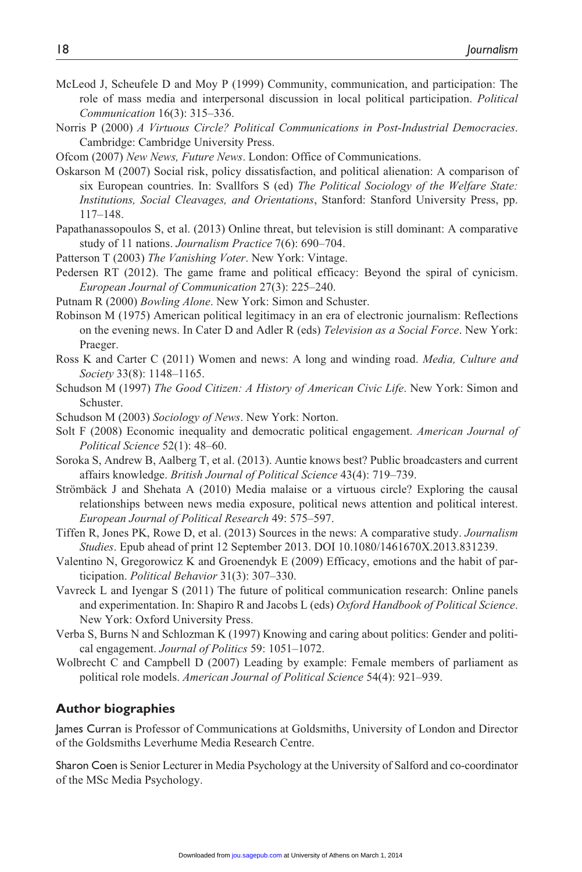- McLeod J, Scheufele D and Moy P (1999) Community, communication, and participation: The role of mass media and interpersonal discussion in local political participation. *Political Communication* 16(3): 315–336.
- Norris P (2000) *A Virtuous Circle? Political Communications in Post-Industrial Democracies*. Cambridge: Cambridge University Press.
- Ofcom (2007) *New News, Future News*. London: Office of Communications.
- Oskarson M (2007) Social risk, policy dissatisfaction, and political alienation: A comparison of six European countries. In: Svallfors S (ed) *The Political Sociology of the Welfare State: Institutions, Social Cleavages, and Orientations*, Stanford: Stanford University Press, pp. 117–148.
- Papathanassopoulos S, et al. (2013) Online threat, but television is still dominant: A comparative study of 11 nations. *Journalism Practice* 7(6): 690–704.
- Patterson T (2003) *The Vanishing Voter*. New York: Vintage.
- Pedersen RT (2012). The game frame and political efficacy: Beyond the spiral of cynicism. *European Journal of Communication* 27(3): 225–240.
- Putnam R (2000) *Bowling Alone*. New York: Simon and Schuster.
- Robinson M (1975) American political legitimacy in an era of electronic journalism: Reflections on the evening news. In Cater D and Adler R (eds) *Television as a Social Force*. New York: Praeger.
- Ross K and Carter C (2011) Women and news: A long and winding road. *Media, Culture and Society* 33(8): 1148–1165.
- Schudson M (1997) *The Good Citizen: A History of American Civic Life*. New York: Simon and Schuster.
- Schudson M (2003) *Sociology of News*. New York: Norton.
- Solt F (2008) Economic inequality and democratic political engagement. *American Journal of Political Science* 52(1): 48–60.
- Soroka S, Andrew B, Aalberg T, et al. (2013). Auntie knows best? Public broadcasters and current affairs knowledge. *British Journal of Political Science* 43(4): 719–739.
- Strömbäck J and Shehata A (2010) Media malaise or a virtuous circle? Exploring the causal relationships between news media exposure, political news attention and political interest. *European Journal of Political Research* 49: 575–597.
- Tiffen R, Jones PK, Rowe D, et al. (2013) Sources in the news: A comparative study. *Journalism Studies*. Epub ahead of print 12 September 2013. DOI 10.1080/1461670X.2013.831239.
- Valentino N, Gregorowicz K and Groenendyk E (2009) Efficacy, emotions and the habit of participation. *Political Behavior* 31(3): 307–330.
- Vavreck L and Iyengar S (2011) The future of political communication research: Online panels and experimentation. In: Shapiro R and Jacobs L (eds) *Oxford Handbook of Political Science*. New York: Oxford University Press.
- Verba S, Burns N and Schlozman K (1997) Knowing and caring about politics: Gender and political engagement. *Journal of Politics* 59: 1051–1072.
- Wolbrecht C and Campbell D (2007) Leading by example: Female members of parliament as political role models. *American Journal of Political Science* 54(4): 921–939.

#### **Author biographies**

James Curran is Professor of Communications at Goldsmiths, University of London and Director of the Goldsmiths Leverhume Media Research Centre.

Sharon Coen is Senior Lecturer in Media Psychology at the University of Salford and co-coordinator of the MSc Media Psychology.